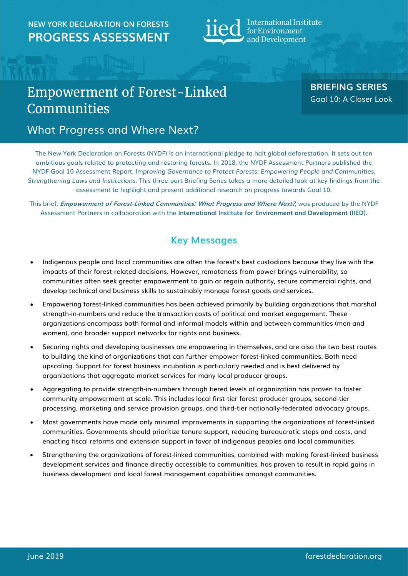## NEW YORK DECLARATION ON FORESTS  $\mathbf{H}$   $\mathbf{H}$  International Institute **PROGRESS ASSESSMENT ELCCL** for Environment



# Empowerment of Forest-Linked **Communities**

BRIEFING SERIES Goal 10: A Closer Look

## What Progress and Where Next?

The New York Declaration on Forests (NYDF) is an international pledge to halt global deforestation. It sets out ten ambitious goals related to protecting and restoring forests. In 2018, the NYDF Assessment Partners published the NYDF Goal 10 Assessment Report, Improving Governance to Protect Forests: Empowering People and Communities, Strengthening Laws and Institutions. This three-part Briefing Series takes a more detailed look at key findings from the assessment to highlight and present additional research on progress towards Goal 10.

This brief, Empowerment of Forest-Linked Communities: What Progress and Where Next?, was produced by the NYDF Assessment Partners in collaboration with the International Institute for Environment and Development (IIED).

## Key Messages

- Indigenous people and local communities are often the forest's best custodians because they live with the impacts of their forest-related decisions. However, remoteness from power brings vulnerability, so communities often seek greater empowerment to gain or regain authority, secure commercial rights, and develop technical and business skills to sustainably manage forest goods and services.
- Empowering forest-linked communities has been achieved primarily by building organizations that marshal strength-in-numbers and reduce the transaction costs of political and market engagement. These organizations encompass both formal and informal models within and between communities (men and women), and broader support networks for rights and business.
- Securing rights and developing businesses are empowering in themselves, and are also the two best routes to building the kind of organizations that can further empower forest-linked communities. Both need upscaling. Support for forest business incubation is particularly needed and is best delivered by organizations that aggregate market services for many local producer groups.
- Aggregating to provide strength-in-numbers through tiered levels of organization has proven to foster community empowerment at scale. This includes local first-tier forest producer groups, second-tier processing, marketing and service provision groups, and third-tier nationally-federated advocacy groups.
- Most governments have made only minimal improvements in supporting the organizations of forest-linked communities. Governments should prioritize tenure support, reducing bureaucratic steps and costs, and enacting fiscal reforms and extension support in favor of indigenous peoples and local communities.
- Strengthening the organizations of forest-linked communities, combined with making forest-linked business development services and finance directly accessible to communities, has proven to result in rapid gains in business development and local forest management capabilities amongst communities.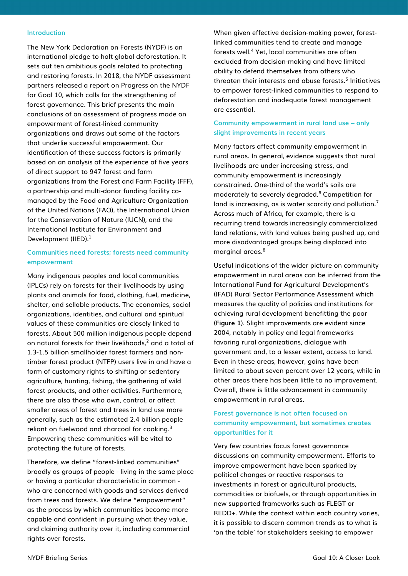#### Introduction

The New York Declaration on Forests (NYDF) is an international pledge to halt global deforestation. It sets out ten ambitious goals related to protecting and restoring forests. In 2018, the NYDF assessment partners released a report on Progress on the NYDF for Goal 10, which calls for the strengthening of forest governance. This brief presents the main conclusions of an assessment of progress made on empowerment of forest-linked community organizations and draws out some of the factors that underlie successful empowerment. Our identification of these success factors is primarily based on an analysis of the experience of five years of direct support to 947 forest and farm organizations from the Forest and Farm Facility (FFF), a partnership and multi-donor funding facility comanaged by the Food and Agriculture Organization of the United Nations (FAO), the International Union for the Conservation of Nature (IUCN), and the International Institute for Environment and Development (IIED).<sup>1</sup>

## Communities need forests; forests need community empowerment

Many indigenous peoples and local communities (IPLCs) rely on forests for their livelihoods by using plants and animals for food, clothing, fuel, medicine, shelter, and sellable products. The economies, social organizations, identities, and cultural and spiritual values of these communities are closely linked to forests. About 500 million indigenous people depend on natural forests for their livelihoods, $2$  and a total of 1.3-1.5 billion smallholder forest farmers and nontimber forest product (NTFP) users live in and have a form of customary rights to shifting or sedentary agriculture, hunting, fishing, the gathering of wild forest products, and other activities. Furthermore, there are also those who own, control, or affect smaller areas of forest and trees in land use more generally, such as the estimated 2.4 billion people reliant on fuelwood and charcoal for cooking.<sup>3</sup> Empowering these communities will be vital to protecting the future of forests.

Therefore, we define "forest-linked communities" broadly as groups of people - living in the same place or having a particular characteristic in common who are concerned with goods and services derived from trees and forests. We define "empowerment" as the process by which communities become more capable and confident in pursuing what they value, and claiming authority over it, including commercial rights over forests.

When given effective decision-making power, forestlinked communities tend to create and manage forests well.<sup>4</sup> Yet, local communities are often excluded from decision-making and have limited ability to defend themselves from others who threaten their interests and abuse forests.<sup>5</sup> Initiatives to empower forest-linked communities to respond to deforestation and inadequate forest management are essential.

### Community empowerment in rural land use – only slight improvements in recent years

Many factors affect community empowerment in rural areas. In general, evidence suggests that rural livelihoods are under increasing stress, and community empowerment is increasingly constrained. One-third of the world's soils are moderately to severely degraded.<sup>6</sup> Competition for land is increasing, as is water scarcity and pollution.<sup>7</sup> Across much of Africa, for example, there is a recurring trend towards increasingly commercialized land relations, with land values being pushed up, and more disadvantaged groups being displaced into marginal areas.<sup>8</sup>

Useful indications of the wider picture on community empowerment in rural areas can be inferred from the International Fund for Agricultural Development's (IFAD) Rural Sector Performance Assessment which measures the quality of policies and institutions for achieving rural development benefitting the poor (Figure 1). Slight improvements are evident since 2004, notably in policy and legal frameworks favoring rural organizations, dialogue with government and, to a lesser extent, access to land. Even in these areas, however, gains have been limited to about seven percent over 12 years, while in other areas there has been little to no improvement. Overall, there is little advancement in community empowerment in rural areas.

## Forest governance is not often focused on community empowerment, but sometimes creates opportunities for it

Very few countries focus forest governance discussions on community empowerment. Efforts to improve empowerment have been sparked by political changes or reactive responses to investments in forest or agricultural products, commodities or biofuels, or through opportunities in new supported frameworks such as FLEGT or REDD+. While the context within each country varies, it is possible to discern common trends as to what is 'on the table' for stakeholders seeking to empower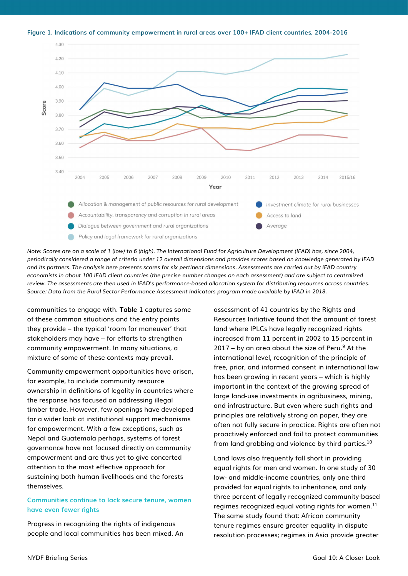

Figure 1. Indications of community empowerment in rural areas over 100+ IFAD client countries, 2004-2016

Note: Scores are on a scale of 1 (low) to 6 (high). The International Fund for Agriculture Development (IFAD) has, since 2004, periodically considered a range of criteria under 12 overall dimensions and provides scores based on knowledge generated by IFAD and its partners. The analysis here presents scores for six pertinent dimensions. Assessments are carried out by IFAD country economists in about 100 IFAD client countries (the precise number changes on each assessment) and are subject to centralized review. The assessments are then used in IFAD's performance-based allocation system for distributing resources across countries. Source: Data from the Rural Sector Performance Assessment Indicators program made available by IFAD in 2018.

communities to engage with. Table 1 captures some of these common situations and the entry points they provide – the typical 'room for maneuver' that stakeholders may have – for efforts to strengthen community empowerment. In many situations, a mixture of some of these contexts may prevail.

Community empowerment opportunities have arisen, for example, to include community resource ownership in definitions of legality in countries where the response has focused on addressing illegal timber trade. However, few openings have developed for a wider look at institutional support mechanisms for empowerment. With a few exceptions, such as Nepal and Guatemala perhaps, systems of forest governance have not focused directly on community empowerment and are thus yet to give concerted attention to the most effective approach for sustaining both human livelihoods and the forests themselves.

## Communities continue to lack secure tenure, women have even fewer rights

Progress in recognizing the rights of indigenous people and local communities has been mixed. An assessment of 41 countries by the Rights and Resources Initiative found that the amount of forest land where IPLCs have legally recognized rights increased from 11 percent in 2002 to 15 percent in  $2017 - by$  an area about the size of Peru.<sup>9</sup> At the international level, recognition of the principle of free, prior, and informed consent in international law has been growing in recent years – which is highly important in the context of the growing spread of large land-use investments in agribusiness, mining, and infrastructure. But even where such rights and principles are relatively strong on paper, they are often not fully secure in practice. Rights are often not proactively enforced and fail to protect communities from land grabbing and violence by third parties.<sup>10</sup>

Land laws also frequently fall short in providing equal rights for men and women. In one study of 30 low- and middle-income countries, only one third provided for equal rights to inheritance, and only three percent of legally recognized community-based regimes recognized equal voting rights for women.<sup>11</sup> The same study found that: African community tenure regimes ensure greater equality in dispute resolution processes; regimes in Asia provide greater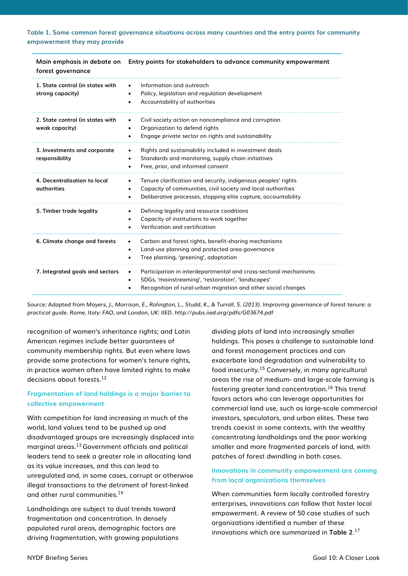Table 1. Some common forest governance situations across many countries and the entry points for community empowerment they may provide

| Main emphasis in debate on<br>forest governance      | Entry points for stakeholders to advance community empowerment                                                                                                                                                                         |  |
|------------------------------------------------------|----------------------------------------------------------------------------------------------------------------------------------------------------------------------------------------------------------------------------------------|--|
| 1. State control (in states with<br>strong capacity) | Information and outreach<br>$\bullet$<br>Policy, legislation and regulation development<br>$\bullet$<br>Accountability of authorities<br>$\bullet$                                                                                     |  |
| 2. State control (in states with<br>weak capacity)   | Civil society action on noncompliance and corruption<br>٠<br>Organization to defend rights<br>$\bullet$<br>Engage private sector on rights and sustainability<br>$\bullet$                                                             |  |
| 3. Investments and corporate<br>responsibility       | Rights and sustainability included in investment deals<br>$\bullet$<br>Standards and monitoring, supply chain initiatives<br>$\bullet$<br>Free, prior, and informed consent<br>٠                                                       |  |
| 4. Decentralization to local<br><b>authorities</b>   | Tenure clarification and security, indigenous peoples' rights<br>$\bullet$<br>Capacity of communities, civil society and local authorities<br>$\bullet$<br>Deliberative processes, stopping elite capture, accountability<br>$\bullet$ |  |
| 5. Timber trade legality                             | Defining legality and resource conditions<br>$\bullet$<br>Capacity of institutions to work together<br>Verification and certification                                                                                                  |  |
| 6. Climate change and forests                        | Carbon and forest rights, benefit-sharing mechanisms<br>٠<br>Land-use planning and protected area governance<br>$\bullet$<br>Tree planting, 'greening', adaptation<br>$\bullet$                                                        |  |
| 7. Integrated goals and sectors                      | Participation in interdepartmental and cross-sectoral mechanisms<br>$\bullet$<br>SDGs, 'mainstreaming', 'restoration', 'landscapes'<br>$\bullet$<br>Recognition of rural-urban migration and other social changes                      |  |

Source: Adapted from Mayers, J., Morrison, E., Rolington, L., Studd, K., & Turrall, S. (2013). Improving governance of forest tenure: a practical guide. Rome, Italy: FAO, and London, UK: IIED. http://pubs.iied.org/pdfs/G03674.pdf

recognition of women's inheritance rights; and Latin American regimes include better guarantees of community membership rights. But even where laws provide some protections for women's tenure rights, in practice women often have limited rights to make decisions about forests.<sup>12</sup>

## Fragmentation of land holdings is a major barrier to collective empowerment

With competition for land increasing in much of the world, land values tend to be pushed up and disadvantaged groups are increasingly displaced into marginal areas.<sup>13</sup> Government officials and political leaders tend to seek a greater role in allocating land as its value increases, and this can lead to unregulated and, in some cases, corrupt or otherwise illegal transactions to the detriment of forest-linked and other rural communities.<sup>14</sup>

Landholdings are subject to dual trends toward fragmentation and concentration. In densely populated rural areas, demographic factors are driving fragmentation, with growing populations

dividing plots of land into increasingly smaller holdings. This poses a challenge to sustainable land and forest management practices and can exacerbate land degradation and vulnerability to food insecurity.<sup>15</sup> Conversely, in many agricultural areas the rise of medium- and large-scale farming is fostering greater land concentration.<sup>16</sup> This trend favors actors who can leverage opportunities for commercial land use, such as large-scale commercial investors, speculators, and urban elites. These two trends coexist in some contexts, with the wealthy concentrating landholdings and the poor working smaller and more fragmented parcels of land, with patches of forest dwindling in both cases.

## Innovations in community empowerment are coming from local organizations themselves

When communities form locally controlled forestry enterprises, innovations can follow that foster local empowerment. A review of 50 case studies of such organizations identified a number of these innovations which are summarized in Table 2. 17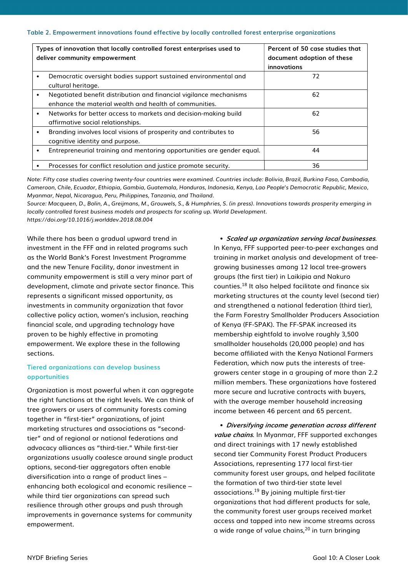#### Table 2. Empowerment innovations found effective by locally controlled forest enterprise organizations

| Types of innovation that locally controlled forest enterprises used to<br>deliver community empowerment |                                                                                                                              | Percent of 50 case studies that<br>document adoption of these<br>innovations |
|---------------------------------------------------------------------------------------------------------|------------------------------------------------------------------------------------------------------------------------------|------------------------------------------------------------------------------|
|                                                                                                         | Democratic oversight bodies support sustained environmental and<br>cultural heritage.                                        | 72                                                                           |
|                                                                                                         | Negotiated benefit distribution and financial vigilance mechanisms<br>enhance the material wealth and health of communities. | 62                                                                           |
|                                                                                                         | Networks for better access to markets and decision-making build<br>affirmative social relationships.                         | 62                                                                           |
|                                                                                                         | Branding involves local visions of prosperity and contributes to<br>cognitive identity and purpose.                          | 56                                                                           |
|                                                                                                         | Entrepreneurial training and mentoring opportunities are gender equal.                                                       | 44                                                                           |
|                                                                                                         | Processes for conflict resolution and justice promote security.                                                              | 36                                                                           |

Note: Fifty case studies covering twenty-four countries were examined. Countries include: Bolivia, Brazil, Burkina Faso, Cambodia, Cameroon, Chile, Ecuador, Ethiopia, Gambia, Guatemala, Honduras, Indonesia, Kenya, Lao People's Democratic Republic, Mexico, Myanmar, Nepal, Nicaragua, Peru, Philippines, Tanzania, and Thailand.

Source: Macqueen, D., Bolin, A., Greijmans, M., Grouwels, S., & Humphries, S. (in press). Innovations towards prosperity emerging in locally controlled forest business models and prospects for scaling up. World Development. https://doi.org/10.1016/j.worlddev.2018.08.004

While there has been a gradual upward trend in investment in the FFF and in related programs such as the World Bank's Forest Investment Programme and the new Tenure Facility, donor investment in community empowerment is still a very minor part of development, climate and private sector finance. This represents a significant missed opportunity, as investments in community organization that favor collective policy action, women's inclusion, reaching financial scale, and upgrading technology have proven to be highly effective in promoting empowerment. We explore these in the following sections.

## Tiered organizations can develop business opportunities

Organization is most powerful when it can aggregate the right functions at the right levels. We can think of tree growers or users of community forests coming together in "first-tier" organizations, of joint marketing structures and associations as "secondtier" and of regional or national federations and advocacy alliances as "third-tier." While first-tier organizations usually coalesce around single product options, second-tier aggregators often enable diversification into a range of product lines – enhancing both ecological and economic resilience – while third tier organizations can spread such resilience through other groups and push through improvements in governance systems for community empowerment.

• Scaled up organization serving local businesses. In Kenya, FFF supported peer-to-peer exchanges and training in market analysis and development of treegrowing businesses among 12 local tree-growers groups (the first tier) in Laikipia and Nakuro counties.<sup>18</sup> It also helped facilitate and finance six marketing structures at the county level (second tier) and strengthened a national federation (third tier), the Farm Forestry Smallholder Producers Association of Kenya (FF-SPAK). The FF-SPAK increased its membership eightfold to involve roughly 3,500 smallholder households (20,000 people) and has become affiliated with the Kenya National Farmers Federation, which now puts the interests of treegrowers center stage in a grouping of more than 2.2 million members. These organizations have fostered more secure and lucrative contracts with buyers, with the average member household increasing income between 46 percent and 65 percent.

• Diversifying income generation across different value chains. In Myanmar, FFF supported exchanges and direct trainings with 17 newly established second tier Community Forest Product Producers Associations, representing 177 local first-tier community forest user groups, and helped facilitate the formation of two third-tier state level associations.<sup>19</sup> By joining multiple first-tier organizations that had different products for sale, the community forest user groups received market access and tapped into new income streams across a wide range of value chains,<sup>20</sup> in turn bringing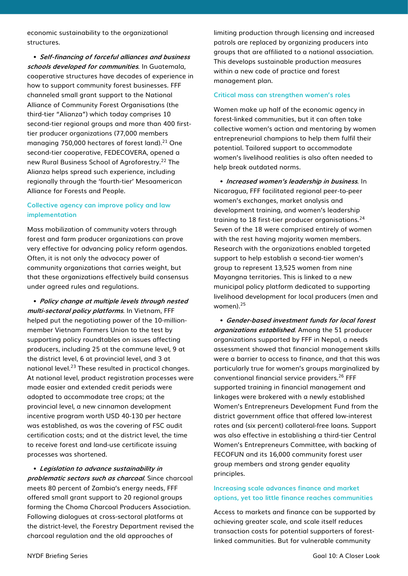economic sustainability to the organizational structures.

• Self-financing of forceful alliances and business schools developed for communities. In Guatemala, cooperative structures have decades of experience in how to support community forest businesses. FFF channeled small grant support to the National Alliance of Community Forest Organisations (the third-tier "Alianza") which today comprises 10 second-tier regional groups and more than 400 firsttier producer organizations (77,000 members managing 750,000 hectares of forest land). $21$  One second-tier cooperative, FEDECOVERA, opened a new Rural Business School of Agroforestry.<sup>22</sup> The Alianza helps spread such experience, including regionally through the 'fourth-tier' Mesoamerican Alliance for Forests and People.

## Collective agency can improve policy and law implementation

Mass mobilization of community voters through forest and farm producer organizations can prove very effective for advancing policy reform agendas. Often, it is not only the advocacy power of community organizations that carries weight, but that these organizations effectively build consensus under agreed rules and regulations.

• Policy change at multiple levels through nested multi-sectoral policy platforms. In Vietnam, FFF helped put the negotiating power of the 10-millionmember Vietnam Farmers Union to the test by supporting policy roundtables on issues affecting producers, including 25 at the commune level, 9 at the district level, 6 at provincial level, and 3 at national level.<sup>23</sup> These resulted in practical changes. At national level, product registration processes were made easier and extended credit periods were adopted to accommodate tree crops; at the provincial level, a new cinnamon development incentive program worth USD 40-130 per hectare was established, as was the covering of FSC audit certification costs; and at the district level, the time to receive forest and land-use certificate issuing processes was shortened.

• Legislation to advance sustainability in problematic sectors such as charcoal. Since charcoal meets 80 percent of Zambia's energy needs, FFF offered small grant support to 20 regional groups forming the Choma Charcoal Producers Association. Following dialogues at cross-sectoral platforms at the district-level, the Forestry Department revised the charcoal regulation and the old approaches of

limiting production through licensing and increased patrols are replaced by organizing producers into groups that are affiliated to a national association. This develops sustainable production measures within a new code of practice and forest management plan.

#### Critical mass can strengthen women's roles

Women make up half of the economic agency in forest-linked communities, but it can often take collective women's action and mentoring by women entrepreneurial champions to help them fulfil their potential. Tailored support to accommodate women's livelihood realities is also often needed to help break outdated norms.

• Increased women's leadership in business. In Nicaragua, FFF facilitated regional peer-to-peer women's exchanges, market analysis and development training, and women's leadership training to 18 first-tier producer organisations.<sup>24</sup> Seven of the 18 were comprised entirely of women with the rest having majority women members. Research with the organizations enabled targeted support to help establish a second-tier women's group to represent 13,525 women from nine Mayangna territories. This is linked to a new municipal policy platform dedicated to supporting livelihood development for local producers (men and women).<sup>25</sup>

• Gender-based investment funds for local forest organizations established. Among the 51 producer organizations supported by FFF in Nepal, a needs assessment showed that financial management skills were a barrier to access to finance, and that this was particularly true for women's groups marginalized by conventional financial service providers.<sup>26</sup> FFF supported training in financial management and linkages were brokered with a newly established Women's Entrepreneurs Development Fund from the district government office that offered low-interest rates and (six percent) collateral-free loans. Support was also effective in establishing a third-tier Central Women's Entrepreneurs Committee, with backing of FECOFUN and its 16,000 community forest user group members and strong gender equality principles.

### Increasing scale advances finance and market options, yet too little finance reaches communities

Access to markets and finance can be supported by achieving greater scale, and scale itself reduces transaction costs for potential supporters of forestlinked communities. But for vulnerable community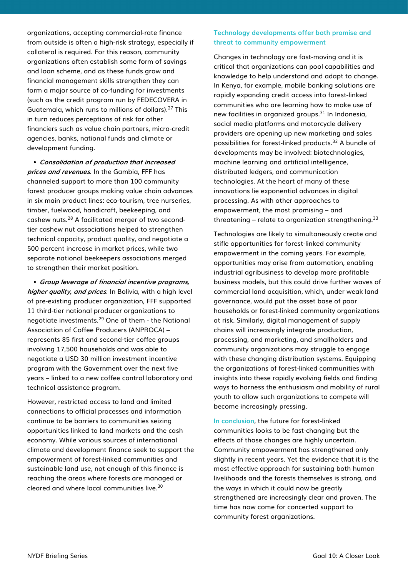organizations, accepting commercial-rate finance from outside is often a high-risk strategy, especially if collateral is required. For this reason, community organizations often establish some form of savings and loan scheme, and as these funds grow and financial management skills strengthen they can form a major source of co-funding for investments (such as the credit program run by FEDECOVERA in Guatemala, which runs to millions of dollars).<sup>27</sup> This in turn reduces perceptions of risk for other financiers such as value chain partners, micro-credit agencies, banks, national funds and climate or development funding.

• Consolidation of production that increased prices and revenues. In the Gambia, FFF has channeled support to more than 100 community forest producer groups making value chain advances in six main product lines: eco-tourism, tree nurseries, timber, fuelwood, handicraft, beekeeping, and cashew nuts.<sup>28</sup> A facilitated merger of two secondtier cashew nut associations helped to strengthen technical capacity, product quality, and negotiate a 500 percent increase in market prices, while two separate national beekeepers associations merged to strengthen their market position.

• Group leverage of financial incentive programs, higher quality, and prices. In Bolivia, with a high level of pre-existing producer organization, FFF supported 11 third-tier national producer organizations to negotiate investments.<sup>29</sup> One of them - the National Association of Coffee Producers (ANPROCA) – represents 85 first and second-tier coffee groups involving 17,500 households and was able to negotiate a USD 30 million investment incentive program with the Government over the next five years – linked to a new coffee control laboratory and technical assistance program.

However, restricted access to land and limited connections to official processes and information continue to be barriers to communities seizing opportunities linked to land markets and the cash economy. While various sources of international climate and development finance seek to support the empowerment of forest-linked communities and sustainable land use, not enough of this finance is reaching the areas where forests are managed or cleared and where local communities live.<sup>30</sup>

### Technology developments offer both promise and threat to community empowerment

Changes in technology are fast-moving and it is critical that organizations can pool capabilities and knowledge to help understand and adapt to change. In Kenya, for example, mobile banking solutions are rapidly expanding credit access into forest-linked communities who are learning how to make use of new facilities in organized groups.<sup>31</sup> In Indonesia, social media platforms and motorcycle delivery providers are opening up new marketing and sales possibilities for forest-linked products.<sup>32</sup> A bundle of developments may be involved: biotechnologies, machine learning and artificial intelligence, distributed ledgers, and communication technologies. At the heart of many of these innovations lie exponential advances in digital processing. As with other approaches to empowerment, the most promising – and threatening – relate to organization strengthening.<sup>33</sup>

Technologies are likely to simultaneously create and stifle opportunities for forest-linked community empowerment in the coming years. For example, opportunities may arise from automation, enabling industrial agribusiness to develop more profitable business models, but this could drive further waves of commercial land acquisition, which, under weak land governance, would put the asset base of poor households or forest-linked community organizations at risk. Similarly, digital management of supply chains will increasingly integrate production, processing, and marketing, and smallholders and community organizations may struggle to engage with these changing distribution systems. Equipping the organizations of forest-linked communities with insights into these rapidly evolving fields and finding ways to harness the enthusiasm and mobility of rural youth to allow such organizations to compete will become increasingly pressing.

In conclusion, the future for forest-linked communities looks to be fast-changing but the effects of those changes are highly uncertain. Community empowerment has strengthened only slightly in recent years. Yet the evidence that it is the most effective approach for sustaining both human livelihoods and the forests themselves is strong, and the ways in which it could now be greatly strengthened are increasingly clear and proven. The time has now come for concerted support to community forest organizations.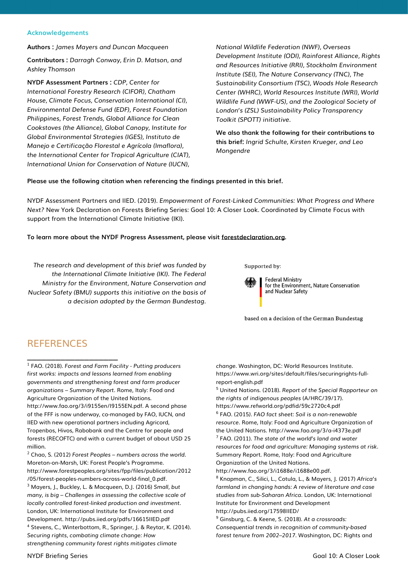#### Acknowledgements

Authors : James Mayers and Duncan Macqueen

Contributors : Darragh Conway, Erin D. Matson, and Ashley Thomson

NYDF Assessment Partners : CDP, Center for International Forestry Research (CIFOR), Chatham House, Climate Focus, Conservation International (CI), Environmental Defense Fund (EDF), Forest Foundation Philippines, Forest Trends, Global Alliance for Clean Cookstoves (the Alliance), Global Canopy, Institute for Global Environmental Strategies (IGES), Instituto de Manejo e Certificação Florestal e Agrícola (Imaflora), the International Center for Tropical Agriculture (CIAT), International Union for Conservation of Nature (IUCN),

National Wildlife Federation (NWF), Overseas Development Institute (ODI), Rainforest Alliance, Rights and Resources Initiative (RRI), Stockholm Environment Institute (SEI), The Nature Conservancy (TNC), The Sustainability Consortium (TSC), Woods Hole Research Center (WHRC), World Resources Institute (WRI), World Wildlife Fund (WWF-US), and the Zoological Society of London's (ZSL) Sustainability Policy Transparency Toolkit (SPOTT) initiative.

We also thank the following for their contributions to this brief: Ingrid Schulte, Kirsten Krueger, and Leo Mongendre

#### Please use the following citation when referencing the findings presented in this brief.

NYDF Assessment Partners and IIED. (2019). Empowerment of Forest-Linked Communities: What Progress and Where Next? New York Declaration on Forests Briefing Series: Goal 10: A Closer Look. Coordinated by Climate Focus with support from the International Climate Initiative (IKI).

#### To learn more about the NYDF Progress Assessment, please visit forestdeclaration.org.

The research and development of this brief was funded by the International Climate Initiative (IKI). The Federal Ministry for the Environment, Nature Conservation and Nuclear Safety (BMU) supports this initiative on the basis of a decision adopted by the German Bundestag.

Supported by:



**Federal Ministry** for the Environment, Nature Conservation and Nuclear Safety

based on a decision of the German Bundestag

## **REFERENCES**

 $\_$ 

<sup>1</sup> FAO. (2018). Forest and Farm Facility - Putting producers first works: impacts and lessons learned from enabling governments and strengthening forest and farm producer organizations – Summary Report. Rome, Italy: Food and Agriculture Organization of the United Nations. http://www.fao.org/3/i9155en/I9155EN.pdf. A second phase

of the FFF is now underway, co-managed by FAO, IUCN, and IIED with new operational partners including Agricord, Tropenbos, Hivos, Rabobank and the Centre for people and forests (RECOFTC) and with a current budget of about USD 25 million.

 $2$  Chao, S. (2012) Forest Peoples – numbers across the world. Moreton-on-Marsh, UK: Forest People's Programme. http://www.forestpeoples.org/sites/fpp/files/publication/2012 /05/forest-peoples-numbers-across-world-final\_0.pdf. <sup>3</sup> Mayers, J., Buckley, L. & Macqueen, D.J. (2016) Small, but many, is big – Challenges in assessing the collective scale of locally controlled forest-linked production and investment. London, UK: International Institute for Environment and Development. http://pubs.iied.org/pdfs/16615IIED.pdf 4 Stevens, C., Winterbottom, R., Springer, J. & Reytar, K. (2014). Securing rights, combating climate change: How strengthening community forest rights mitigates climate

change. Washington, DC: World Resources Institute. https://www.wri.org/sites/default/files/securingrights-fullreport-english.pdf

<sup>5</sup> United Nations. (2018). Report of the Special Rapporteur on the rights of indigenous peoples (A/HRC/39/17). https://www.refworld.org/pdfid/59c2720c4.pdf

6 FAO. (2015). FAO fact sheet: Soil is a non-renewable resource. Rome, Italy: Food and Agriculture Organization of the United Nations. http://www.fao.org/3/a-i4373e.pdf  $7$  FAO. (2011). The state of the world's land and water

resources for food and agriculture: Managing systems at risk. Summary Report. Rome, Italy: Food and Agriculture Organization of the United Nations.

http://www.fao.org/3/i1688e/i1688e00.pdf.

8 Knapman, C., Silici, L., Cotula, L., & Mayers, J. (2017) Africa's farmland in changing hands: A review of literature and case studies from sub-Saharan Africa. London, UK: International Institute for Environment and Development http://pubs.iied.org/17598IIED/

<sup>9</sup> Ginsburg, C. & Keene, S. (2018). At a crossroads: Consequential trends in recognition of community-based forest tenure from 2002–2017. Washington, DC: Rights and